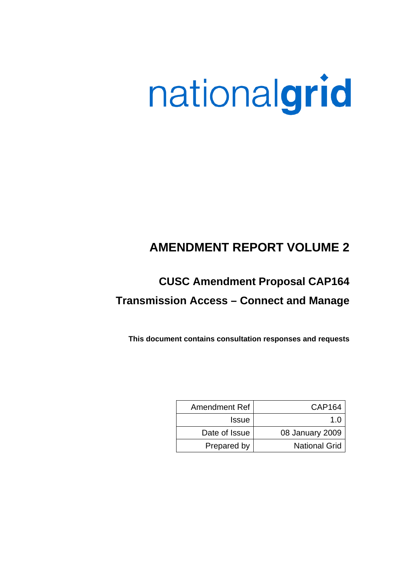# nationalgrid

### **AMENDMENT REPORT VOLUME 2**

## **CUSC Amendment Proposal CAP164 Transmission Access – Connect and Manage**

**This document contains consultation responses and requests** 

| Amendment Ref | CAP164               |
|---------------|----------------------|
| <b>Issue</b>  | 1 በ                  |
| Date of Issue | 08 January 2009      |
| Prepared by   | <b>National Grid</b> |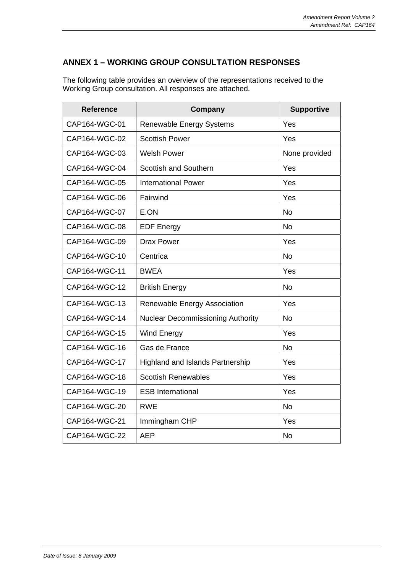#### **ANNEX 1 – WORKING GROUP CONSULTATION RESPONSES**

The following table provides an overview of the representations received to the Working Group consultation. All responses are attached.

| <b>Reference</b> | Company                                  | <b>Supportive</b> |
|------------------|------------------------------------------|-------------------|
| CAP164-WGC-01    | <b>Renewable Energy Systems</b>          | Yes               |
| CAP164-WGC-02    | <b>Scottish Power</b>                    | Yes               |
| CAP164-WGC-03    | <b>Welsh Power</b>                       | None provided     |
| CAP164-WGC-04    | <b>Scottish and Southern</b>             | Yes               |
| CAP164-WGC-05    | <b>International Power</b>               | Yes               |
| CAP164-WGC-06    | Fairwind                                 | Yes               |
| CAP164-WGC-07    | E.ON                                     | <b>No</b>         |
| CAP164-WGC-08    | <b>EDF Energy</b>                        | <b>No</b>         |
| CAP164-WGC-09    | <b>Drax Power</b>                        | Yes               |
| CAP164-WGC-10    | Centrica                                 | <b>No</b>         |
| CAP164-WGC-11    | <b>BWEA</b>                              | Yes               |
| CAP164-WGC-12    | <b>British Energy</b>                    | <b>No</b>         |
| CAP164-WGC-13    | Renewable Energy Association             | Yes               |
| CAP164-WGC-14    | <b>Nuclear Decommissioning Authority</b> | <b>No</b>         |
| CAP164-WGC-15    | Wind Energy                              | Yes               |
| CAP164-WGC-16    | Gas de France                            | <b>No</b>         |
| CAP164-WGC-17    | <b>Highland and Islands Partnership</b>  | Yes               |
| CAP164-WGC-18    | <b>Scottish Renewables</b>               | Yes               |
| CAP164-WGC-19    | <b>ESB International</b>                 | Yes               |
| CAP164-WGC-20    | <b>RWE</b>                               | <b>No</b>         |
| CAP164-WGC-21    | Immingham CHP                            | Yes               |
| CAP164-WGC-22    | <b>AEP</b>                               | <b>No</b>         |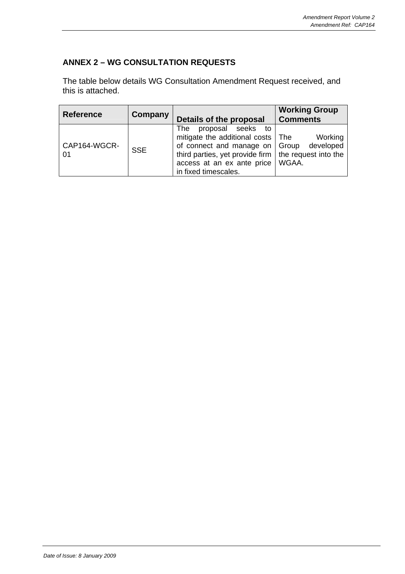#### **ANNEX 2 – WG CONSULTATION REQUESTS**

The table below details WG Consultation Amendment Request received, and this is attached.

| <b>Reference</b>    | Company    | Details of the proposal                                                                                                                                                                                                              | <b>Working Group</b><br><b>Comments</b> |
|---------------------|------------|--------------------------------------------------------------------------------------------------------------------------------------------------------------------------------------------------------------------------------------|-----------------------------------------|
| CAP164-WGCR-<br>-01 | <b>SSE</b> | proposal seeks<br><b>The</b><br>to:<br>mitigate the additional costs   The<br>of connect and manage on   Group<br>third parties, yet provide firm $\vert$ the request into the<br>access at an ex ante price<br>in fixed timescales. | Working<br>developed<br>WGAA.           |